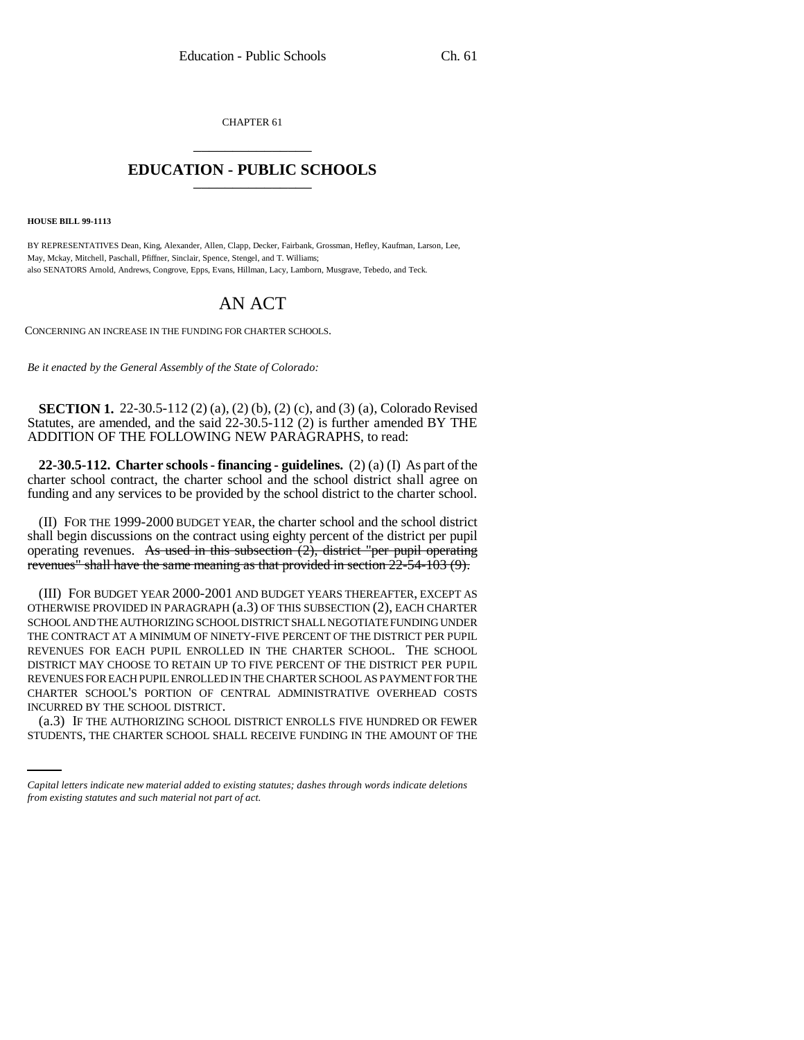CHAPTER 61 \_\_\_\_\_\_\_\_\_\_\_\_\_\_\_

## **EDUCATION - PUBLIC SCHOOLS** \_\_\_\_\_\_\_\_\_\_\_\_\_\_\_

**HOUSE BILL 99-1113**

BY REPRESENTATIVES Dean, King, Alexander, Allen, Clapp, Decker, Fairbank, Grossman, Hefley, Kaufman, Larson, Lee, May, Mckay, Mitchell, Paschall, Pfiffner, Sinclair, Spence, Stengel, and T. Williams; also SENATORS Arnold, Andrews, Congrove, Epps, Evans, Hillman, Lacy, Lamborn, Musgrave, Tebedo, and Teck.

# AN ACT

CONCERNING AN INCREASE IN THE FUNDING FOR CHARTER SCHOOLS.

*Be it enacted by the General Assembly of the State of Colorado:*

**SECTION 1.** 22-30.5-112 (2) (a), (2) (b), (2) (c), and (3) (a), Colorado Revised Statutes, are amended, and the said 22-30.5-112 (2) is further amended BY THE ADDITION OF THE FOLLOWING NEW PARAGRAPHS, to read:

**22-30.5-112. Charter schools - financing - guidelines.** (2) (a) (I) As part of the charter school contract, the charter school and the school district shall agree on funding and any services to be provided by the school district to the charter school.

(II) FOR THE 1999-2000 BUDGET YEAR, the charter school and the school district shall begin discussions on the contract using eighty percent of the district per pupil operating revenues. As used in this subsection  $(2)$ , district "per pupil operating revenues" shall have the same meaning as that provided in section 22-54-103 (9).

INCURRED BY THE SCHOOL DISTRICT. (III) FOR BUDGET YEAR 2000-2001 AND BUDGET YEARS THEREAFTER, EXCEPT AS OTHERWISE PROVIDED IN PARAGRAPH (a.3) OF THIS SUBSECTION (2), EACH CHARTER SCHOOL AND THE AUTHORIZING SCHOOL DISTRICT SHALL NEGOTIATE FUNDING UNDER THE CONTRACT AT A MINIMUM OF NINETY-FIVE PERCENT OF THE DISTRICT PER PUPIL REVENUES FOR EACH PUPIL ENROLLED IN THE CHARTER SCHOOL. THE SCHOOL DISTRICT MAY CHOOSE TO RETAIN UP TO FIVE PERCENT OF THE DISTRICT PER PUPIL REVENUES FOR EACH PUPIL ENROLLED IN THE CHARTER SCHOOL AS PAYMENT FOR THE CHARTER SCHOOL'S PORTION OF CENTRAL ADMINISTRATIVE OVERHEAD COSTS

(a.3) IF THE AUTHORIZING SCHOOL DISTRICT ENROLLS FIVE HUNDRED OR FEWER STUDENTS, THE CHARTER SCHOOL SHALL RECEIVE FUNDING IN THE AMOUNT OF THE

*Capital letters indicate new material added to existing statutes; dashes through words indicate deletions from existing statutes and such material not part of act.*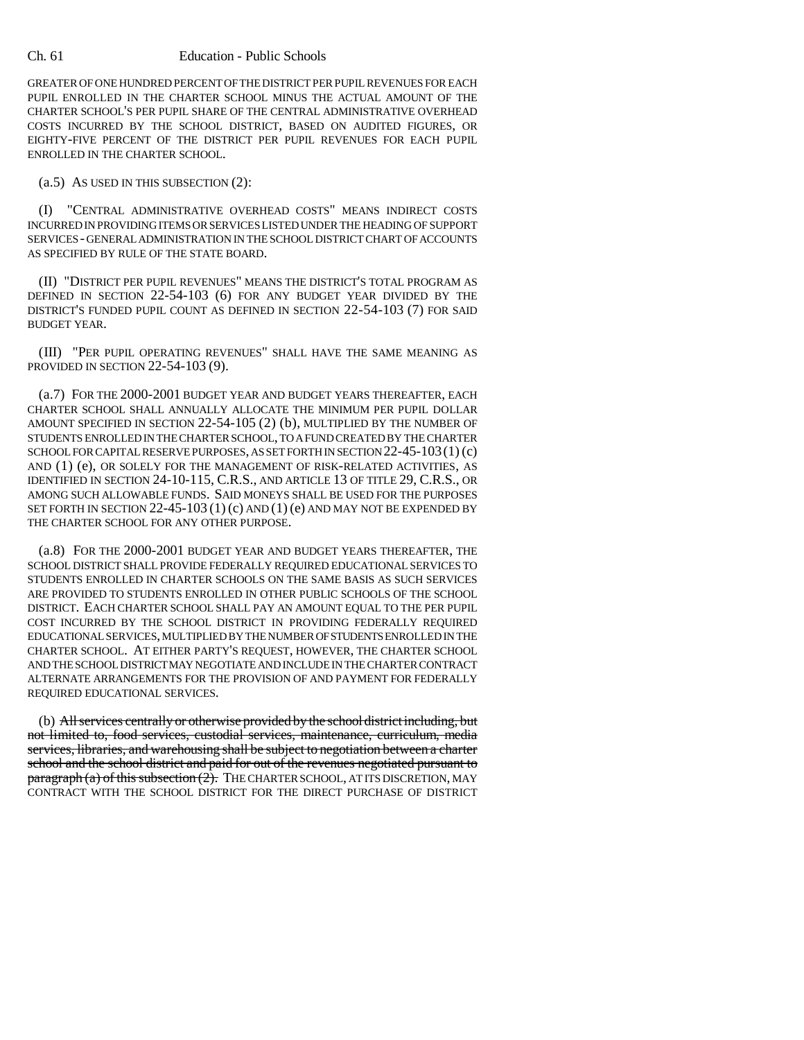### Ch. 61 Education - Public Schools

GREATER OF ONE HUNDRED PERCENT OF THE DISTRICT PER PUPIL REVENUES FOR EACH PUPIL ENROLLED IN THE CHARTER SCHOOL MINUS THE ACTUAL AMOUNT OF THE CHARTER SCHOOL'S PER PUPIL SHARE OF THE CENTRAL ADMINISTRATIVE OVERHEAD COSTS INCURRED BY THE SCHOOL DISTRICT, BASED ON AUDITED FIGURES, OR EIGHTY-FIVE PERCENT OF THE DISTRICT PER PUPIL REVENUES FOR EACH PUPIL ENROLLED IN THE CHARTER SCHOOL.

(a.5) AS USED IN THIS SUBSECTION (2):

(I) "CENTRAL ADMINISTRATIVE OVERHEAD COSTS" MEANS INDIRECT COSTS INCURRED IN PROVIDING ITEMS OR SERVICES LISTED UNDER THE HEADING OF SUPPORT SERVICES - GENERAL ADMINISTRATION IN THE SCHOOL DISTRICT CHART OF ACCOUNTS AS SPECIFIED BY RULE OF THE STATE BOARD.

(II) "DISTRICT PER PUPIL REVENUES" MEANS THE DISTRICT'S TOTAL PROGRAM AS DEFINED IN SECTION 22-54-103 (6) FOR ANY BUDGET YEAR DIVIDED BY THE DISTRICT'S FUNDED PUPIL COUNT AS DEFINED IN SECTION 22-54-103 (7) FOR SAID BUDGET YEAR.

(III) "PER PUPIL OPERATING REVENUES" SHALL HAVE THE SAME MEANING AS PROVIDED IN SECTION 22-54-103 (9).

(a.7) FOR THE 2000-2001 BUDGET YEAR AND BUDGET YEARS THEREAFTER, EACH CHARTER SCHOOL SHALL ANNUALLY ALLOCATE THE MINIMUM PER PUPIL DOLLAR AMOUNT SPECIFIED IN SECTION 22-54-105 (2) (b), MULTIPLIED BY THE NUMBER OF STUDENTS ENROLLED IN THE CHARTER SCHOOL, TO A FUND CREATED BY THE CHARTER SCHOOL FOR CAPITAL RESERVE PURPOSES, AS SET FORTH IN SECTION 22-45-103(1) (c) AND (1) (e), OR SOLELY FOR THE MANAGEMENT OF RISK-RELATED ACTIVITIES, AS IDENTIFIED IN SECTION 24-10-115, C.R.S., AND ARTICLE 13 OF TITLE 29, C.R.S., OR AMONG SUCH ALLOWABLE FUNDS. SAID MONEYS SHALL BE USED FOR THE PURPOSES SET FORTH IN SECTION 22-45-103 (1) (c) AND (1) (e) AND MAY NOT BE EXPENDED BY THE CHARTER SCHOOL FOR ANY OTHER PURPOSE.

(a.8) FOR THE 2000-2001 BUDGET YEAR AND BUDGET YEARS THEREAFTER, THE SCHOOL DISTRICT SHALL PROVIDE FEDERALLY REQUIRED EDUCATIONAL SERVICES TO STUDENTS ENROLLED IN CHARTER SCHOOLS ON THE SAME BASIS AS SUCH SERVICES ARE PROVIDED TO STUDENTS ENROLLED IN OTHER PUBLIC SCHOOLS OF THE SCHOOL DISTRICT. EACH CHARTER SCHOOL SHALL PAY AN AMOUNT EQUAL TO THE PER PUPIL COST INCURRED BY THE SCHOOL DISTRICT IN PROVIDING FEDERALLY REQUIRED EDUCATIONAL SERVICES, MULTIPLIED BY THE NUMBER OF STUDENTS ENROLLED IN THE CHARTER SCHOOL. AT EITHER PARTY'S REQUEST, HOWEVER, THE CHARTER SCHOOL AND THE SCHOOL DISTRICT MAY NEGOTIATE AND INCLUDE IN THE CHARTER CONTRACT ALTERNATE ARRANGEMENTS FOR THE PROVISION OF AND PAYMENT FOR FEDERALLY REQUIRED EDUCATIONAL SERVICES.

(b) All services centrally or otherwise provided by the school district including, but not limited to, food services, custodial services, maintenance, curriculum, media services, libraries, and warehousing shall be subject to negotiation between a charter school and the school district and paid for out of the revenues negotiated pursuant to  $\frac{\text{pargraph}}{a}$  of this subsection  $(2)$ . THE CHARTER SCHOOL, AT ITS DISCRETION, MAY CONTRACT WITH THE SCHOOL DISTRICT FOR THE DIRECT PURCHASE OF DISTRICT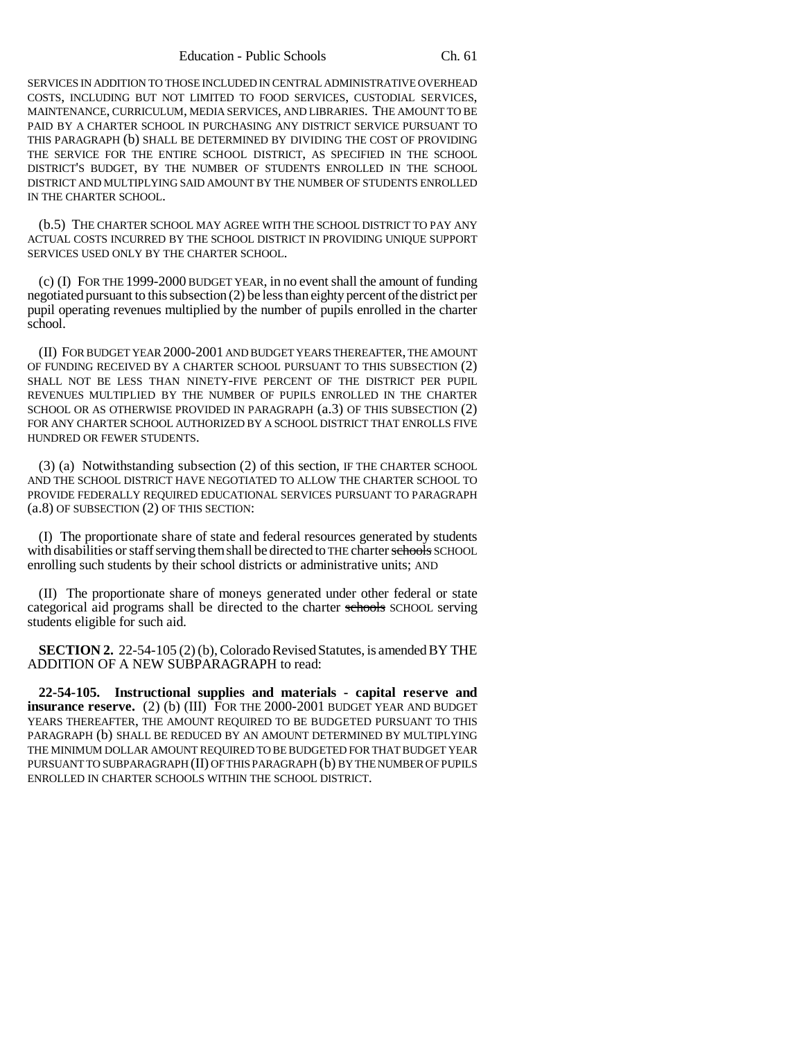Education - Public Schools Ch. 61

SERVICES IN ADDITION TO THOSE INCLUDED IN CENTRAL ADMINISTRATIVE OVERHEAD COSTS, INCLUDING BUT NOT LIMITED TO FOOD SERVICES, CUSTODIAL SERVICES, MAINTENANCE, CURRICULUM, MEDIA SERVICES, AND LIBRARIES. THE AMOUNT TO BE PAID BY A CHARTER SCHOOL IN PURCHASING ANY DISTRICT SERVICE PURSUANT TO THIS PARAGRAPH (b) SHALL BE DETERMINED BY DIVIDING THE COST OF PROVIDING THE SERVICE FOR THE ENTIRE SCHOOL DISTRICT, AS SPECIFIED IN THE SCHOOL DISTRICT'S BUDGET, BY THE NUMBER OF STUDENTS ENROLLED IN THE SCHOOL DISTRICT AND MULTIPLYING SAID AMOUNT BY THE NUMBER OF STUDENTS ENROLLED IN THE CHARTER SCHOOL.

(b.5) THE CHARTER SCHOOL MAY AGREE WITH THE SCHOOL DISTRICT TO PAY ANY ACTUAL COSTS INCURRED BY THE SCHOOL DISTRICT IN PROVIDING UNIQUE SUPPORT SERVICES USED ONLY BY THE CHARTER SCHOOL.

(c) (I) FOR THE 1999-2000 BUDGET YEAR, in no event shall the amount of funding negotiated pursuant to this subsection (2) be less than eighty percent of the district per pupil operating revenues multiplied by the number of pupils enrolled in the charter school.

(II) FOR BUDGET YEAR 2000-2001 AND BUDGET YEARS THEREAFTER, THE AMOUNT OF FUNDING RECEIVED BY A CHARTER SCHOOL PURSUANT TO THIS SUBSECTION (2) SHALL NOT BE LESS THAN NINETY-FIVE PERCENT OF THE DISTRICT PER PUPIL REVENUES MULTIPLIED BY THE NUMBER OF PUPILS ENROLLED IN THE CHARTER SCHOOL OR AS OTHERWISE PROVIDED IN PARAGRAPH (a.3) OF THIS SUBSECTION (2) FOR ANY CHARTER SCHOOL AUTHORIZED BY A SCHOOL DISTRICT THAT ENROLLS FIVE HUNDRED OR FEWER STUDENTS.

(3) (a) Notwithstanding subsection (2) of this section, IF THE CHARTER SCHOOL AND THE SCHOOL DISTRICT HAVE NEGOTIATED TO ALLOW THE CHARTER SCHOOL TO PROVIDE FEDERALLY REQUIRED EDUCATIONAL SERVICES PURSUANT TO PARAGRAPH (a.8) OF SUBSECTION (2) OF THIS SECTION:

(I) The proportionate share of state and federal resources generated by students with disabilities or staff serving them shall be directed to THE charter schools SCHOOL enrolling such students by their school districts or administrative units; AND

(II) The proportionate share of moneys generated under other federal or state categorical aid programs shall be directed to the charter schools SCHOOL serving students eligible for such aid.

**SECTION 2.** 22-54-105 (2) (b), Colorado Revised Statutes, is amended BY THE ADDITION OF A NEW SUBPARAGRAPH to read:

**22-54-105. Instructional supplies and materials - capital reserve and insurance reserve.** (2) (b) (III) FOR THE 2000-2001 BUDGET YEAR AND BUDGET YEARS THEREAFTER, THE AMOUNT REQUIRED TO BE BUDGETED PURSUANT TO THIS PARAGRAPH (b) SHALL BE REDUCED BY AN AMOUNT DETERMINED BY MULTIPLYING THE MINIMUM DOLLAR AMOUNT REQUIRED TO BE BUDGETED FOR THAT BUDGET YEAR PURSUANT TO SUBPARAGRAPH (II) OF THIS PARAGRAPH (b) BY THE NUMBER OF PUPILS ENROLLED IN CHARTER SCHOOLS WITHIN THE SCHOOL DISTRICT.